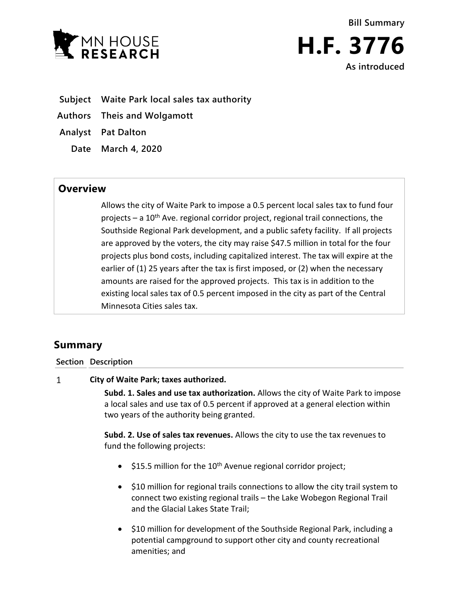

**Bill Summary H.F. 3776 As introduced**

- **Subject Waite Park local sales tax authority**
- **Authors Theis and Wolgamott**
- **Analyst Pat Dalton**
	- **Date March 4, 2020**

## **Overview**

Allows the city of Waite Park to impose a 0.5 percent local sales tax to fund four projects – a  $10<sup>th</sup>$  Ave. regional corridor project, regional trail connections, the Southside Regional Park development, and a public safety facility. If all projects are approved by the voters, the city may raise \$47.5 million in total for the four projects plus bond costs, including capitalized interest. The tax will expire at the earlier of (1) 25 years after the tax is first imposed, or (2) when the necessary amounts are raised for the approved projects. This tax is in addition to the existing local sales tax of 0.5 percent imposed in the city as part of the Central Minnesota Cities sales tax.

# **Summary**

### **Section Description**

#### $\mathbf{1}$ **City of Waite Park; taxes authorized.**

**Subd. 1. Sales and use tax authorization.** Allows the city of Waite Park to impose a local sales and use tax of 0.5 percent if approved at a general election within two years of the authority being granted.

**Subd. 2. Use of sales tax revenues.** Allows the city to use the tax revenues to fund the following projects:

- $\bullet$  \$15.5 million for the 10<sup>th</sup> Avenue regional corridor project;
- \$10 million for regional trails connections to allow the city trail system to connect two existing regional trails – the Lake Wobegon Regional Trail and the Glacial Lakes State Trail;
- $\bullet$  \$10 million for development of the Southside Regional Park, including a potential campground to support other city and county recreational amenities; and